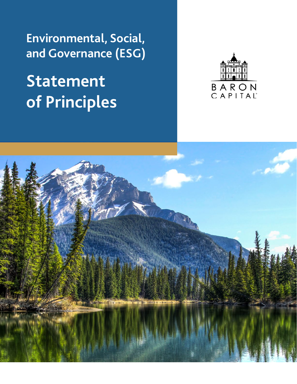**Environmental, Social, and Governance (ESG)**

## **Statement of Principles**



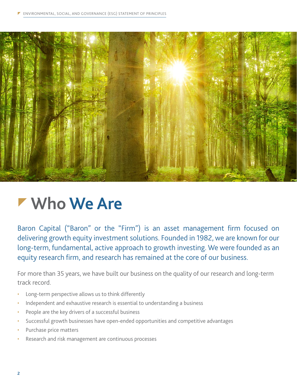

#### **Who We Are**

Baron Capital ("Baron" or the "Firm") is an asset management firm focused on delivering growth equity investment solutions. Founded in 1982, we are known for our long-term, fundamental, active approach to growth investing. We were founded as an equity research firm, and research has remained at the core of our business.

For more than 35 years, we have built our business on the quality of our research and long-term track record.

- Long-term perspective allows us to think differently
- Independent and exhaustive research is essential to understanding a business
- People are the key drivers of a successful business
- Successful growth businesses have open-ended opportunities and competitive advantages
- Purchase price matters
- Research and risk management are continuous processes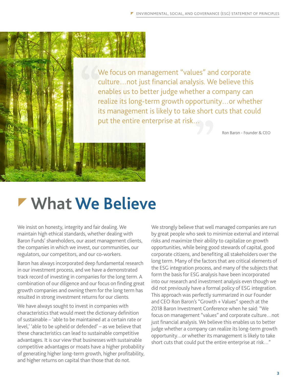We focus on management "values" and corporate culture…not just financial analysis. We believe this enables us to better judge whether a company can realize its long-term growth opportunity…or whether its management is likely to take short cuts that could put the entire enterprise at risk…

Ron Baron - Founder & CEO

### **What We Believe**

We insist on honesty, integrity and fair dealing. We maintain high ethical standards, whether dealing with Baron Funds' shareholders, our asset management clients, the companies in which we invest, our communities, our regulators, our competitors, and our co-workers.

Baron has always incorporated deep fundamental research in our investment process, and we have a demonstrated track record of investing in companies for the long term. A combination of our diligence and our focus on finding great growth companies and owning them for the long term has resulted in strong investment returns for our clients.

We have always sought to invest in companies with characteristics that would meet the dictionary definition of sustainable – 'able to be maintained at a certain rate or level,' 'able to be upheld or defended' – as we believe that these characteristics can lead to sustainable competitive advantages. It is our view that businesses with sustainable competitive advantages or moats have a higher probability of generating higher long-term growth, higher profitability, and higher returns on capital than those that do not.

We strongly believe that well managed companies are run by great people who seek to minimize external and internal risks and maximize their ability to capitalize on growth opportunities, while being good stewards of capital, good corporate citizens, and benefiting all stakeholders over the long term. Many of the factors that are critical elements of the ESG integration process, and many of the subjects that form the basis for ESG analysis have been incorporated into our research and investment analysis even though we did not previously have a formal policy of ESG integration. This approach was perfectly summarized in our Founder and CEO Ron Baron's "Growth + Values" speech at the 2018 Baron Investment Conference when he said: "We focus on management "values" and corporate culture…not just financial analysis. We believe this enables us to better judge whether a company can realize its long-term growth opportunity…or whether its management is likely to take short cuts that could put the entire enterprise at risk…"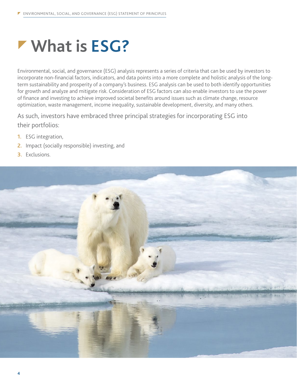## **What is ESG?**

Environmental, social, and governance (ESG) analysis represents a series of criteria that can be used by investors to incorporate non-financial factors, indicators, and data points into a more complete and holistic analysis of the longterm sustainability and prosperity of a company's business. ESG analysis can be used to both identify opportunities for growth and analyze and mitigate risk. Consideration of ESG factors can also enable investors to use the power of finance and investing to achieve improved societal benefits around issues such as climate change, resource optimization, waste management, income inequality, sustainable development, diversity, and many others.

As such, investors have embraced three principal strategies for incorporating ESG into their portfolios:

- **1.** ESG integration,
- **2.** Impact (socially responsible) investing, and
- **3.** Exclusions.

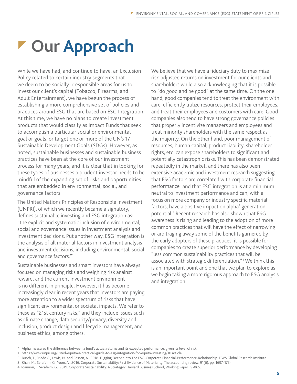# *r* Our Approach

While we have had, and continue to have, an Exclusion Policy related to certain industry segments that we deem to be socially irresponsible areas for us to invest our client's capital (Tobacco, Firearms, and Adult Entertainment), we have begun the process of establishing a more comprehensive set of policies and practices around ESG that are based on ESG Integration. At this time, we have no plans to create investment products that would classify as Impact Funds that seek to accomplish a particular social or environmental goal or goals, or target one or more of the UN's 17 Sustainable Development Goals (SDGs). However, as noted, sustainable businesses and sustainable business practices have been at the core of our investment process for many years, and it is clear that in looking for these types of businesses a prudent investor needs to be mindful of the expanding set of risks and opportunities that are embedded in environmental, social, and governance factors.

The United Nations Principles of Responsible Investment (UNPRI), of which we recently became a signatory, defines sustainable investing and ESG integration as: "the explicit and systematic inclusion of environmental, social and governance issues in investment analysis and investment decisions. Put another way, ESG integration is the analysis of all material factors in investment analysis and investment decisions, including environmental, social, and governance factors."1

Sustainable businesses and smart investors have always focused on managing risks and weighing risk against reward, and the current investment environment is no different in principle. However, it has become increasingly clear in recent years that investors are paying more attention to a wider spectrum of risks that have significant environmental or societal impacts. We refer to these as "21st century risks," and they include issues such as climate change, data security/privacy, diversity and inclusion, product design and lifecycle management, and business ethics, among others.

We believe that we have a fiduciary duty to maximize risk-adjusted returns on investment for our clients and shareholders while also acknowledging that it is possible to "do good and be good" at the same time. On the one hand, good companies tend to treat the environment with care, efficiently utilize resources, protect their employees, and treat their employees and customers with care. Good companies also tend to have strong governance policies that properly incentivize managers and employees and treat minority shareholders with the same respect as the majority. On the other hand, poor management of resources, human capital, product liability, shareholder rights, etc. can expose shareholders to significant and potentially catastrophic risks. This has been demonstrated repeatedly in the market, and there has also been extensive academic and investment research suggesting that ESG factors are correlated with corporate financial performance<sup>2</sup> and that ESG integration is at a minimum neutral to investment performance and can, with a focus on more company or industry specific material factors, have a positive impact on alpha<sup>\*</sup> generation potential.<sup>3</sup> Recent research has also shown that ESG awareness is rising and leading to the adoption of more common practices that will have the effect of narrowing or arbitraging away some of the benefits garnered by the early adopters of these practices, it is possible for companies to create superior performance by developing "less common sustainability practices that will be associated with strategic differentiation."4 We think this is an important point and one that we plan to explore as we begin taking a more rigorous approach to ESG analysis and integration.

Alpha measures the difference between a fund's actual returns and its expected performance, given its level of risk.

<sup>1</sup> https://www.unpri.org/listed-equity/a-practical-guide-to-esg-integration-for-equity-investing/10.article

<sup>2</sup> Busch, T., Friede G., Lewis, M. and Bassen, A., 2018. Digging Deeper Into The ESG-Corporate Financial-Performance-Relationship. DWS Global Research Institute.

<sup>3</sup> Khan, M., Serafeim, G., Yoon, A., 2016. Corporate Sustainability: First Evidence of Materiality. The accounting review, 91(6), pp. 1697-1724.

<sup>4</sup> Ioannou, I., Serafeim, G., 2019. Corporate Sustainability: A Strategy? Harvard Business School, Working Paper 19-065.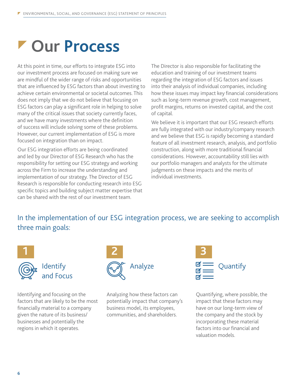## **Our Process**

At this point in time, our efforts to integrate ESG into our investment process are focused on making sure we are mindful of the wider range of risks and opportunities that are influenced by ESG factors than about investing to achieve certain environmental or societal outcomes. This does not imply that we do not believe that focusing on ESG factors can play a significant role in helping to solve many of the critical issues that society currently faces, and we have many investments where the definition of success will include solving some of these problems. However, our current implementation of ESG is more focused on integration than on impact.

Our ESG integration efforts are being coordinated and led by our Director of ESG Research who has the responsibility for setting our ESG strategy and working across the Firm to increase the understanding and implementation of our strategy. The Director of ESG Research is responsible for conducting research into ESG specific topics and building subject matter expertise that can be shared with the rest of our investment team.

The Director is also responsible for facilitating the education and training of our investment teams regarding the integration of ESG factors and issues into their analysis of individual companies, including how these issues may impact key financial considerations such as long-term revenue growth, cost management, profit margins, returns on invested capital, and the cost of capital.

We believe it is important that our ESG research efforts are fully integrated with our industry/company research and we believe that ESG is rapidly becoming a standard feature of all investment research, analysis, and portfolio construction, along with more traditional financial considerations. However, accountability still lies with our portfolio managers and analysts for the ultimate judgments on these impacts and the merits of individual investments.

#### In the implementation of our ESG integration process, we are seeking to accomplish three main goals:



**Identify** and Focus

Identifying and focusing on the factors that are likely to be the most financially material to a company given the nature of its business/ businesses and potentially the regions in which it operates.



Analyzing how these factors can potentially impact that company's business model, its employees, communities, and shareholders.



Quantifying, where possible, the impact that these factors may have on our long-term view of the company and the stock by incorporating these material factors into our financial and valuation models.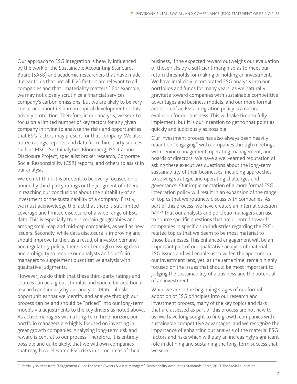Our approach to ESG integration is heavily influenced by the work of the Sustainable Accounting Standards Board (SASB) and academic researchers that have made it clear to us that not all ESG factors are relevant to all companies and that "materiality matters." For example, we may not closely scrutinize a financial services company's carbon emissions, but we are likely to be very concerned about its human capital development or data privacy protection. Therefore, in our analysis, we seek to focus on a limited number of key factors for any given company in trying to analyze the risks and opportunities that ESG factors may present for that company. We also utilize ratings, reports, and data from third-party sources such as MSCI, Sustainalytics, Bloomberg, ISS, Carbon Disclosure Project, specialist broker research, Corporate Social Responsibility (CSR) reports, and others to assist in our analysis.

We do not think it is prudent to be overly focused on or bound by third-party ratings or the judgment of others in reaching our conclusions about the suitability of an investment or the sustainability of a company. Firstly, we must acknowledge the fact that there is still limited coverage and limited disclosure of a wide range of ESG data. This is especially true in certain geographies and among small-cap and mid-cap companies, as well as new issuers. Secondly, while data disclosure is improving and should improve further, as a result of investor demand and regulatory policy, there is still enough missing data and ambiguity to require our analysts and portfolio managers to supplement quantitative analysis with qualitative judgments.

However, we do think that these third-party ratings and sources can be a great stimulus and source for additional research and inquiry by our analysts. Material risks or opportunities that we identify and analyze through our process can be and should be "priced" into our long-term models via adjustments to the key drivers as noted above. As active managers with a long-term time horizon, our portfolio managers are highly focused on investing in great growth companies. Analyzing long-term risk and reward is central to our process. Therefore, it is entirely possible and quite likely, that we will own companies that may have elevated ESG risks in some areas of their

business, if the expected reward outweighs our evaluation of those risks by a sufficient margin so as to meet our return thresholds for making or holding an investment. We have implicitly incorporated ESG analysis into our portfolios and funds for many years, as we naturally gravitate toward companies with sustainable competitive advantages and business models, and our more formal adoption of an ESG integration policy is a natural evolution for our business. This will take time to fully implement, but it is our intention to get to that point as quickly and judiciously as possible.

Our investment process has also always been heavily reliant on "engaging" with companies through meetings with senior management, operating management, and boards of directors. We have a well-earned reputation of asking these executives questions about the long-term sustainability of their businesses, including approaches to solving strategic and operating challenges and governance. Our implementation of a more formal ESG integration policy will result in an expansion of the range of topics that we routinely discuss with companies. As part of this process, we have created an internal question bank<sup>5</sup> that our analysts and portfolio managers can use to source specific questions that are oriented towards companies in specific sub-industries regarding the ESGrelated topics that we deem to be most material to those businesses. This enhanced engagement will be an important part of our qualitative analysis of material ESG issues and will enable us to widen the aperture on our investment lens, yet, at the same time, remain highly focused on the issues that should be most important to judging the sustainability of a business and the potential of an investment.

While we are in the beginning stages of our formal adoption of ESG principles into our research and investment process, many of the key topics and risks that are assessed as part of this process are not new to us. We have long sought to find growth companies with sustainable competitive advantages, and we recognize the importance of enhancing our analysis of the material ESG factors and risks which will play an increasingly significant role in defining and sustaining the long-term success that we seek.

<sup>5</sup> Partially sourced from "Engagement Guide For Asset Owners & Asset Managers", Sustainability Accounting Standards Board, 2019, The SASB Foundation.